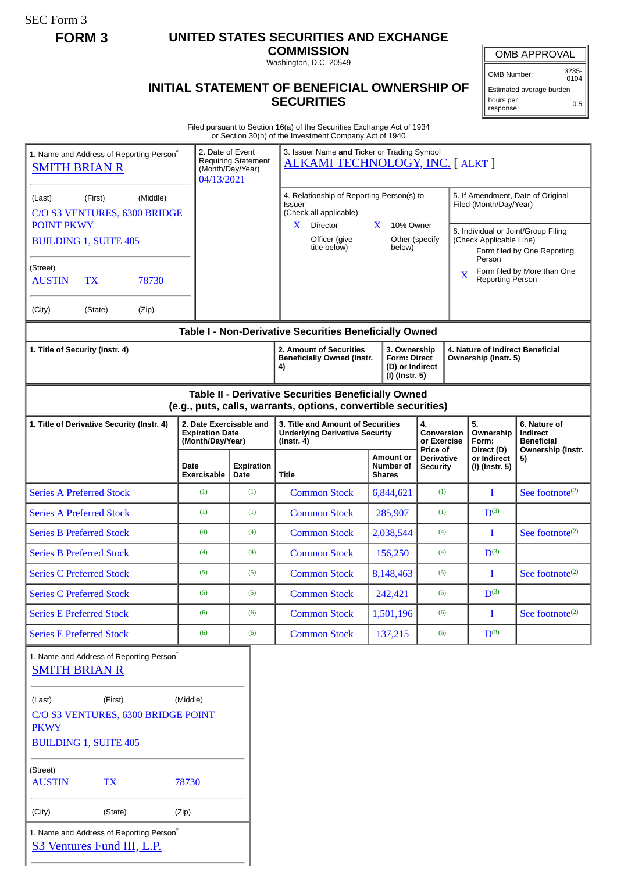SEC Form 3

# **FORM 3 UNITED STATES SECURITIES AND EXCHANGE**

**COMMISSION** Washington, D.C. 20549

## **INITIAL STATEMENT OF BENEFICIAL OWNERSHIP OF SECURITIES**

OMB APPROVAL

OMB Number: 3235- 0104

Estimated average burden hours per response: 0.5

Filed pursuant to Section 16(a) of the Securities Exchange Act of 1934 or Section 30(h) of the Investment Company Act of 1940

| 1. Name and Address of Reporting Person <sup>®</sup><br><b>SMITH BRIAN R</b>                                       |                                         |                                          | 2. Date of Event<br>04/13/2021                                        | <b>Requiring Statement</b><br>(Month/Day/Year) | or Section So(ii) or the investment Company Act or 1940<br>3. Issuer Name and Ticker or Trading Symbol<br><b>ALKAMI TECHNOLOGY, INC. [ ALKT ]</b> |                                                                          |                                                    |                                                                                                                                                              |                                                                    |
|--------------------------------------------------------------------------------------------------------------------|-----------------------------------------|------------------------------------------|-----------------------------------------------------------------------|------------------------------------------------|---------------------------------------------------------------------------------------------------------------------------------------------------|--------------------------------------------------------------------------|----------------------------------------------------|--------------------------------------------------------------------------------------------------------------------------------------------------------------|--------------------------------------------------------------------|
| (Middle)<br>(First)<br>(Last)<br>C/O S3 VENTURES, 6300 BRIDGE<br><b>POINT PKWY</b><br><b>BUILDING 1, SUITE 405</b> |                                         |                                          |                                                                       |                                                | 4. Relationship of Reporting Person(s) to<br>Issuer<br>(Check all applicable)<br>X<br>Director<br>Officer (give<br>title below)                   | $\mathbf{X}$<br>10% Owner<br>below)                                      | Other (specify                                     | 5. If Amendment, Date of Original<br>Filed (Month/Day/Year)<br>6. Individual or Joint/Group Filing<br>(Check Applicable Line)<br>Form filed by One Reporting |                                                                    |
| (Street)<br><b>AUSTIN</b>                                                                                          | <b>TX</b>                               | 78730                                    |                                                                       |                                                |                                                                                                                                                   |                                                                          |                                                    | Person<br>Form filed by More than One<br>$\overline{\mathbf{X}}$<br><b>Reporting Person</b>                                                                  |                                                                    |
| (City)                                                                                                             | (State)                                 | (Zip)                                    |                                                                       |                                                |                                                                                                                                                   |                                                                          |                                                    |                                                                                                                                                              |                                                                    |
|                                                                                                                    |                                         |                                          |                                                                       |                                                | Table I - Non-Derivative Securities Beneficially Owned                                                                                            |                                                                          |                                                    |                                                                                                                                                              |                                                                    |
| 1. Title of Security (Instr. 4)                                                                                    |                                         |                                          |                                                                       |                                                | 2. Amount of Securities<br><b>Beneficially Owned (Instr.</b><br>4)                                                                                | 3. Ownership<br><b>Form: Direct</b><br>(D) or Indirect<br>(I) (Instr. 5) |                                                    | 4. Nature of Indirect Beneficial<br>Ownership (Instr. 5)                                                                                                     |                                                                    |
|                                                                                                                    |                                         |                                          |                                                                       |                                                | Table II - Derivative Securities Beneficially Owned<br>(e.g., puts, calls, warrants, options, convertible securities)                             |                                                                          |                                                    |                                                                                                                                                              |                                                                    |
| 1. Title of Derivative Security (Instr. 4)                                                                         |                                         |                                          | 2. Date Exercisable and<br><b>Expiration Date</b><br>(Month/Day/Year) |                                                | 3. Title and Amount of Securities<br><b>Underlying Derivative Security</b><br>$($ Instr. 4 $)$                                                    |                                                                          | 4.<br><b>Conversion</b><br>or Exercise<br>Price of | 5.<br>Ownership<br>Form:<br>Direct (D)                                                                                                                       | 6. Nature of<br>Indirect<br><b>Beneficial</b><br>Ownership (Instr. |
|                                                                                                                    |                                         | Date<br><b>Exercisable</b>               | <b>Expiration</b><br>Date                                             | <b>Title</b>                                   | Amount or<br>Number of<br><b>Shares</b>                                                                                                           | <b>Derivative</b><br><b>Security</b>                                     | or Indirect<br>(I) (Instr. 5)                      | 5)                                                                                                                                                           |                                                                    |
| <b>Series A Preferred Stock</b>                                                                                    |                                         |                                          | (1)                                                                   | (1)                                            | <b>Common Stock</b>                                                                                                                               | 6,844,621                                                                | (1)                                                | I                                                                                                                                                            | See footnote <sup>(2)</sup>                                        |
| <b>Series A Preferred Stock</b>                                                                                    |                                         | (1)                                      | (1)                                                                   | <b>Common Stock</b>                            | 285,907                                                                                                                                           | (1)                                                                      | $D^{(3)}$                                          |                                                                                                                                                              |                                                                    |
| <b>Series B Preferred Stock</b>                                                                                    |                                         | (4)                                      | (4)                                                                   | <b>Common Stock</b>                            | 2,038,544                                                                                                                                         | (4)                                                                      | $\bf{I}$                                           | See footnote $(2)$                                                                                                                                           |                                                                    |
| <b>Series B Preferred Stock</b>                                                                                    |                                         | (4)                                      | (4)                                                                   | <b>Common Stock</b>                            | 156,250                                                                                                                                           | (4)                                                                      | $D^{(3)}$                                          |                                                                                                                                                              |                                                                    |
| <b>Series C Preferred Stock</b>                                                                                    |                                         | (5)                                      | (5)                                                                   | <b>Common Stock</b>                            | 8,148,463                                                                                                                                         | (5)                                                                      | I                                                  | See footnote <sup>(2)</sup>                                                                                                                                  |                                                                    |
| <b>Series C Preferred Stock</b>                                                                                    |                                         | (5)                                      | (5)                                                                   | <b>Common Stock</b>                            | 242,421                                                                                                                                           | (5)                                                                      | $D^{(3)}$                                          |                                                                                                                                                              |                                                                    |
| <b>Series E Preferred Stock</b>                                                                                    |                                         |                                          | (6)                                                                   | (6)                                            | <b>Common Stock</b>                                                                                                                               | 1,501,196                                                                | (6)                                                | I                                                                                                                                                            | See footnote <sup>(2)</sup>                                        |
|                                                                                                                    | <b>Series E Preferred Stock</b>         |                                          | (6)                                                                   | (6)                                            | <b>Common Stock</b>                                                                                                                               | 137,215                                                                  | (6)                                                | $D^{(3)}$                                                                                                                                                    |                                                                    |
|                                                                                                                    | <b>SMITH BRIAN R</b>                    | 1. Name and Address of Reporting Person* |                                                                       |                                                |                                                                                                                                                   |                                                                          |                                                    |                                                                                                                                                              |                                                                    |
| (Last)<br><b>PKWY</b>                                                                                              | (First)<br><b>BUILDING 1, SUITE 405</b> | C/O S3 VENTURES, 6300 BRIDGE POINT       | (Middle)                                                              |                                                |                                                                                                                                                   |                                                                          |                                                    |                                                                                                                                                              |                                                                    |
| (Street)<br><b>AUSTIN</b><br><b>TX</b><br>78730                                                                    |                                         |                                          |                                                                       |                                                |                                                                                                                                                   |                                                                          |                                                    |                                                                                                                                                              |                                                                    |
| (City)                                                                                                             | (State)                                 |                                          | (Zip)                                                                 |                                                |                                                                                                                                                   |                                                                          |                                                    |                                                                                                                                                              |                                                                    |
|                                                                                                                    | S3 Ventures Fund III, L.P.              | 1. Name and Address of Reporting Person* |                                                                       |                                                |                                                                                                                                                   |                                                                          |                                                    |                                                                                                                                                              |                                                                    |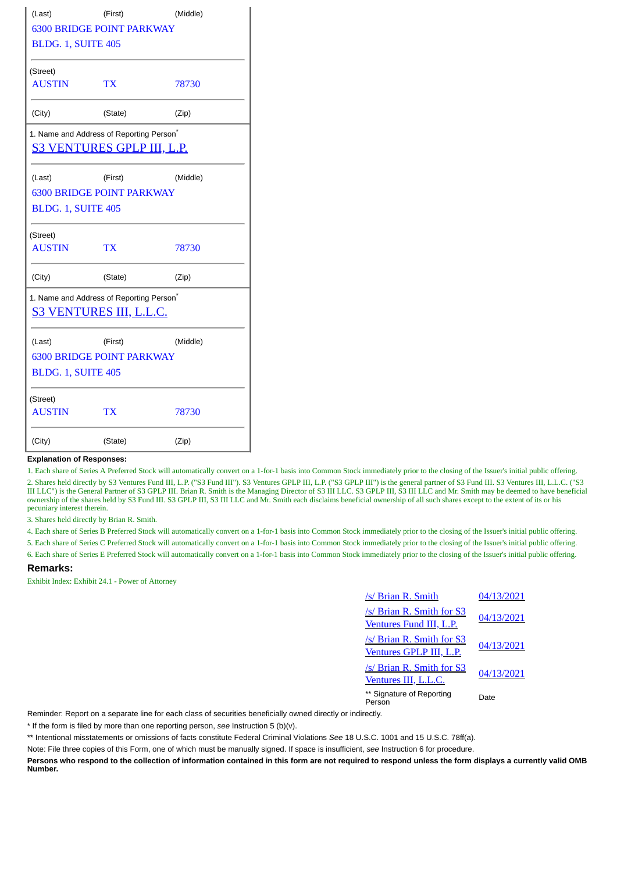| (Last)                           | (First)                                                                                   | (Middle) |  |  |  |  |  |  |
|----------------------------------|-------------------------------------------------------------------------------------------|----------|--|--|--|--|--|--|
| <b>6300 BRIDGE POINT PARKWAY</b> |                                                                                           |          |  |  |  |  |  |  |
| BLDG. 1, SUITE 405               |                                                                                           |          |  |  |  |  |  |  |
| (Street)                         |                                                                                           |          |  |  |  |  |  |  |
| <b>AUSTIN</b>                    | TX.                                                                                       | 78730    |  |  |  |  |  |  |
| (City)                           | (State)                                                                                   | (Zip)    |  |  |  |  |  |  |
|                                  | 1. Name and Address of Reporting Person <sup>*</sup><br><u>S3 VENTURES GPLP III, L.P.</u> |          |  |  |  |  |  |  |
|                                  |                                                                                           |          |  |  |  |  |  |  |
| (Last)                           | (First)                                                                                   | (Middle) |  |  |  |  |  |  |
|                                  | <b>6300 BRIDGE POINT PARKWAY</b>                                                          |          |  |  |  |  |  |  |
| <b>BLDG. 1, SUITE 405</b>        |                                                                                           |          |  |  |  |  |  |  |
| (Street)                         |                                                                                           |          |  |  |  |  |  |  |
| <b>AUSTIN</b>                    | TX <sup>-</sup>                                                                           | 78730    |  |  |  |  |  |  |
| (City)                           | (State)                                                                                   | (Zip)    |  |  |  |  |  |  |
|                                  | 1. Name and Address of Reporting Person <sup>*</sup>                                      |          |  |  |  |  |  |  |
|                                  | <u>S3 VENTURES III, L.L.C.</u>                                                            |          |  |  |  |  |  |  |
| (Last)                           | (First)                                                                                   | (Middle) |  |  |  |  |  |  |
| <b>6300 BRIDGE POINT PARKWAY</b> |                                                                                           |          |  |  |  |  |  |  |
| <b>BLDG. 1, SUITE 405</b>        |                                                                                           |          |  |  |  |  |  |  |
| (Street)                         |                                                                                           |          |  |  |  |  |  |  |
| <b>AUSTIN</b>                    | <b>TX</b>                                                                                 | 78730    |  |  |  |  |  |  |
| (City)                           | (State)                                                                                   | (Zip)    |  |  |  |  |  |  |

#### **Explanation of Responses:**

1. Each share of Series A Preferred Stock will automatically convert on a 1-for-1 basis into Common Stock immediately prior to the closing of the Issuer's initial public offering. 2. Shares held directly by S3 Ventures Fund III, L.P. ("S3 Fund III"). S3 Ventures GPLP III, L.P. ("S3 GPLP III") is the general partner of S3 Fund III. S3 Ventures III, L.L.C. ("S3 III LLC") is the General Partner of S3 GPLP III. Brian R. Smith is the Managing Director of S3 III LLC. S3 GPLP III, S3 III LLC and Mr. Smith may be deemed to have beneficial ownership of the shares held by S3 Fund III. S3 GPLP III, S3 III LLC and Mr. Smith each disclaims beneficial ownership of all such shares except to the extent of its or his pecuniary interest therein.

3. Shares held directly by Brian R. Smith.

4. Each share of Series B Preferred Stock will automatically convert on a 1-for-1 basis into Common Stock immediately prior to the closing of the Issuer's initial public offering.

5. Each share of Series C Preferred Stock will automatically convert on a 1-for-1 basis into Common Stock immediately prior to the closing of the Issuer's initial public offering.

6. Each share of Series E Preferred Stock will automatically convert on a 1-for-1 basis into Common Stock immediately prior to the closing of the Issuer's initial public offering.

#### **Remarks:**

Exhibit Index: Exhibit 24.1 - Power of Attorney

| /s/ Brian R. Smith                                   | 04/13/2021 |
|------------------------------------------------------|------------|
| /s/ Brian R. Smith for S3<br>Ventures Fund III, L.P. | 04/13/2021 |
| /s/ Brian R. Smith for S3<br>Ventures GPLP III, L.P. | 04/13/2021 |
| /s/ Brian R. Smith for S3<br>Ventures III, L.L.C.    | 04/13/2021 |
| ** Signature of Reporting<br>Person                  | Date       |

Reminder: Report on a separate line for each class of securities beneficially owned directly or indirectly.

\* If the form is filed by more than one reporting person, *see* Instruction 5 (b)(v).

\*\* Intentional misstatements or omissions of facts constitute Federal Criminal Violations *See* 18 U.S.C. 1001 and 15 U.S.C. 78ff(a).

Note: File three copies of this Form, one of which must be manually signed. If space is insufficient, *see* Instruction 6 for procedure.

**Persons who respond to the collection of information contained in this form are not required to respond unless the form displays a currently valid OMB Number.**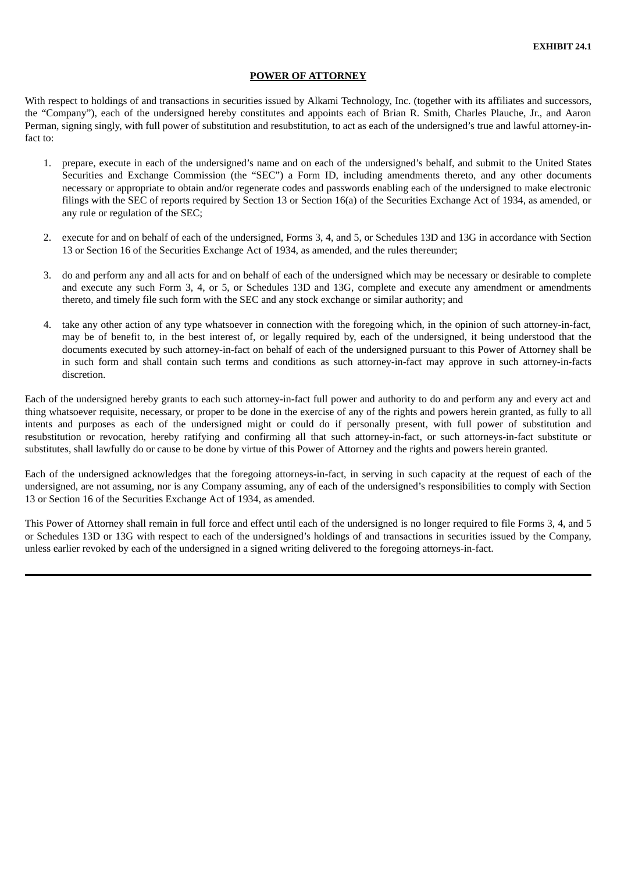#### **POWER OF ATTORNEY**

With respect to holdings of and transactions in securities issued by Alkami Technology, Inc. (together with its affiliates and successors, the "Company"), each of the undersigned hereby constitutes and appoints each of Brian R. Smith, Charles Plauche, Jr., and Aaron Perman, signing singly, with full power of substitution and resubstitution, to act as each of the undersigned's true and lawful attorney-infact to:

- 1. prepare, execute in each of the undersigned's name and on each of the undersigned's behalf, and submit to the United States Securities and Exchange Commission (the "SEC") a Form ID, including amendments thereto, and any other documents necessary or appropriate to obtain and/or regenerate codes and passwords enabling each of the undersigned to make electronic filings with the SEC of reports required by Section 13 or Section 16(a) of the Securities Exchange Act of 1934, as amended, or any rule or regulation of the SEC;
- 2. execute for and on behalf of each of the undersigned, Forms 3, 4, and 5, or Schedules 13D and 13G in accordance with Section 13 or Section 16 of the Securities Exchange Act of 1934, as amended, and the rules thereunder;
- 3. do and perform any and all acts for and on behalf of each of the undersigned which may be necessary or desirable to complete and execute any such Form 3, 4, or 5, or Schedules 13D and 13G, complete and execute any amendment or amendments thereto, and timely file such form with the SEC and any stock exchange or similar authority; and
- 4. take any other action of any type whatsoever in connection with the foregoing which, in the opinion of such attorney-in-fact, may be of benefit to, in the best interest of, or legally required by, each of the undersigned, it being understood that the documents executed by such attorney-in-fact on behalf of each of the undersigned pursuant to this Power of Attorney shall be in such form and shall contain such terms and conditions as such attorney-in-fact may approve in such attorney-in-facts discretion.

Each of the undersigned hereby grants to each such attorney-in-fact full power and authority to do and perform any and every act and thing whatsoever requisite, necessary, or proper to be done in the exercise of any of the rights and powers herein granted, as fully to all intents and purposes as each of the undersigned might or could do if personally present, with full power of substitution and resubstitution or revocation, hereby ratifying and confirming all that such attorney-in-fact, or such attorneys-in-fact substitute or substitutes, shall lawfully do or cause to be done by virtue of this Power of Attorney and the rights and powers herein granted.

Each of the undersigned acknowledges that the foregoing attorneys-in-fact, in serving in such capacity at the request of each of the undersigned, are not assuming, nor is any Company assuming, any of each of the undersigned's responsibilities to comply with Section 13 or Section 16 of the Securities Exchange Act of 1934, as amended.

This Power of Attorney shall remain in full force and effect until each of the undersigned is no longer required to file Forms 3, 4, and 5 or Schedules 13D or 13G with respect to each of the undersigned's holdings of and transactions in securities issued by the Company, unless earlier revoked by each of the undersigned in a signed writing delivered to the foregoing attorneys-in-fact.